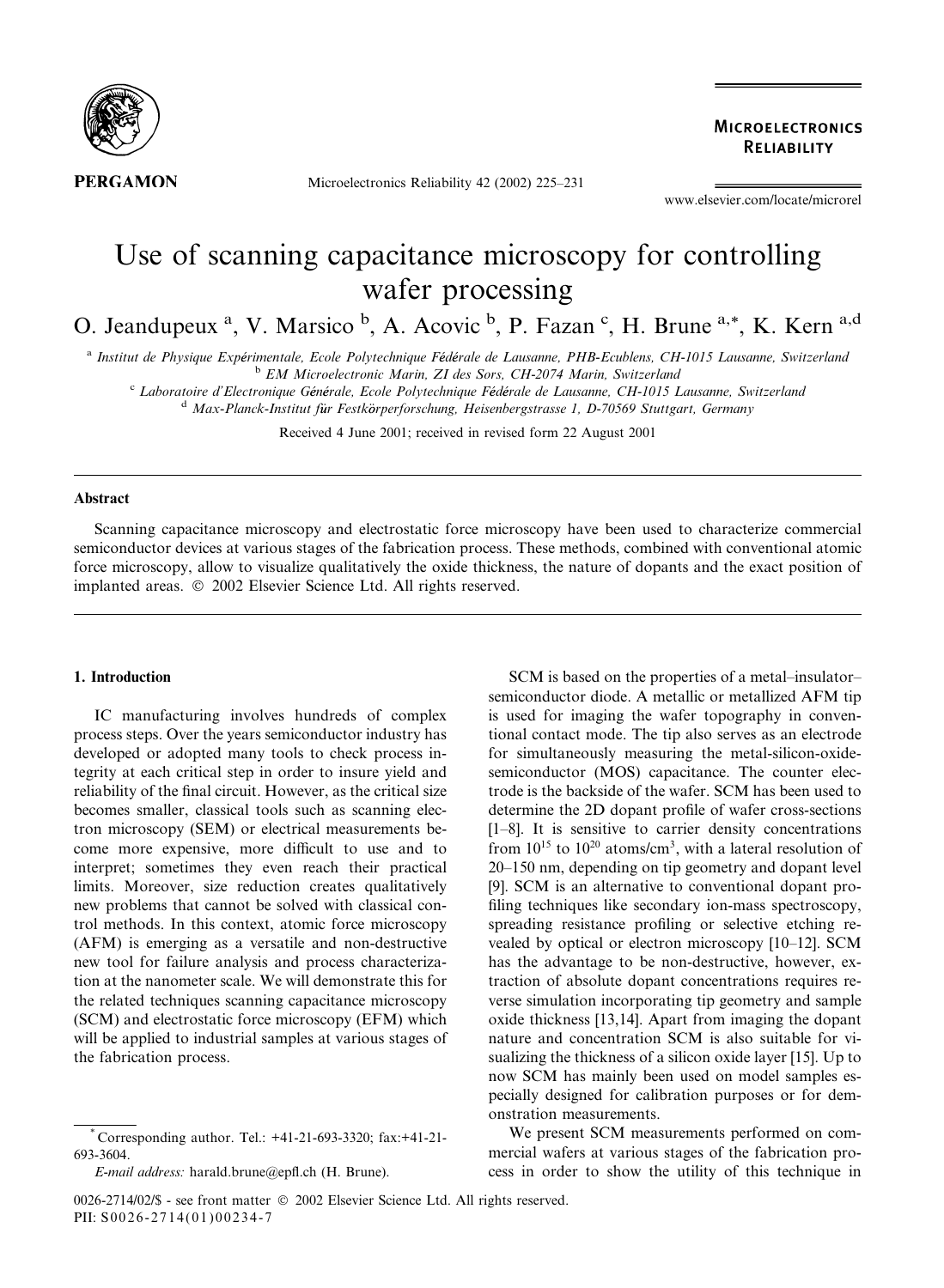

Microelectronics Reliability 42 (2002) 225–231

**MICROELECTRONICS** RELIABILITY

www.elsevier.com/locate/microrel

# Use of scanning capacitance microscopy for controlling wafer processing

O. Jeandupeux<sup>a</sup>, V. Marsico<sup>b</sup>, A. Acovic<sup>b</sup>, P. Fazan<sup>c</sup>, H. Brune<sup>a,\*</sup>, K. Kern<sup>a,d</sup>

a Institut de Physique Expérimentale, Ecole Polytechnique Fédérale de Lausanne, PHB-Ecublens, CH-1015 Lausanne, Switzerland<br><sup>b</sup> EM Microelectronic Marin, ZI des Sors, CH-2074 Marin, Switzerland

<sup>c</sup> Laboratoire d'Electronique Générale, Ecole Polytechnique Fédérale de Lausanne, CH-1015 Lausanne, Switzerland<br><sup>d</sup> Max-Planck-Institut für Festkörperforschung, Heisenbergstrasse 1, D-70569 Stuttgart, Germany

Received 4 June 2001; received in revised form 22 August 2001

# Abstract

Scanning capacitance microscopy and electrostatic force microscopy have been used to characterize commercial semiconductor devices at various stages of the fabrication process. These methods, combined with conventional atomic force microscopy, allow to visualize qualitatively the oxide thickness, the nature of dopants and the exact position of implanted areas.  $\oslash$  2002 Elsevier Science Ltd. All rights reserved.

# 1. Introduction

IC manufacturing involves hundreds of complex process steps. Over the years semiconductor industry has developed or adopted many tools to check process integrity at each critical step in order to insure yield and reliability of the final circuit. However, as the critical size becomes smaller, classical tools such as scanning electron microscopy (SEM) or electrical measurements become more expensive, more difficult to use and to interpret; sometimes they even reach their practical limits. Moreover, size reduction creates qualitatively new problems that cannot be solved with classical control methods. In this context, atomic force microscopy (AFM) is emerging as a versatile and non-destructive new tool for failure analysis and process characterization at the nanometer scale. We will demonstrate this for the related techniques scanning capacitance microscopy (SCM) and electrostatic force microscopy (EFM) which will be applied to industrial samples at various stages of the fabrication process.

SCM is based on the properties of a metal–insulator– semiconductor diode. A metallic or metallized AFM tip is used for imaging the wafer topography in conventional contact mode. The tip also serves as an electrode for simultaneously measuring the metal-silicon-oxidesemiconductor (MOS) capacitance. The counter electrode is the backside of the wafer. SCM has been used to determine the 2D dopant profile of wafer cross-sections [1–8]. It is sensitive to carrier density concentrations from  $10^{15}$  to  $10^{20}$  atoms/cm<sup>3</sup>, with a lateral resolution of 20–150 nm, depending on tip geometry and dopant level [9]. SCM is an alternative to conventional dopant profiling techniques like secondary ion-mass spectroscopy, spreading resistance profiling or selective etching revealed by optical or electron microscopy [10–12]. SCM has the advantage to be non-destructive, however, extraction of absolute dopant concentrations requires reverse simulation incorporating tip geometry and sample oxide thickness [13,14]. Apart from imaging the dopant nature and concentration SCM is also suitable for visualizing the thickness of a silicon oxide layer [15]. Up to now SCM has mainly been used on model samples especially designed for calibration purposes or for demonstration measurements.

We present SCM measurements performed on commercial wafers at various stages of the fabrication process in order to show the utility of this technique in

<sup>\*</sup> Corresponding author. Tel.: +41-21-693-3320; fax:+41-21- 693-3604.

E-mail address: harald.brune@epfl.ch (H. Brune).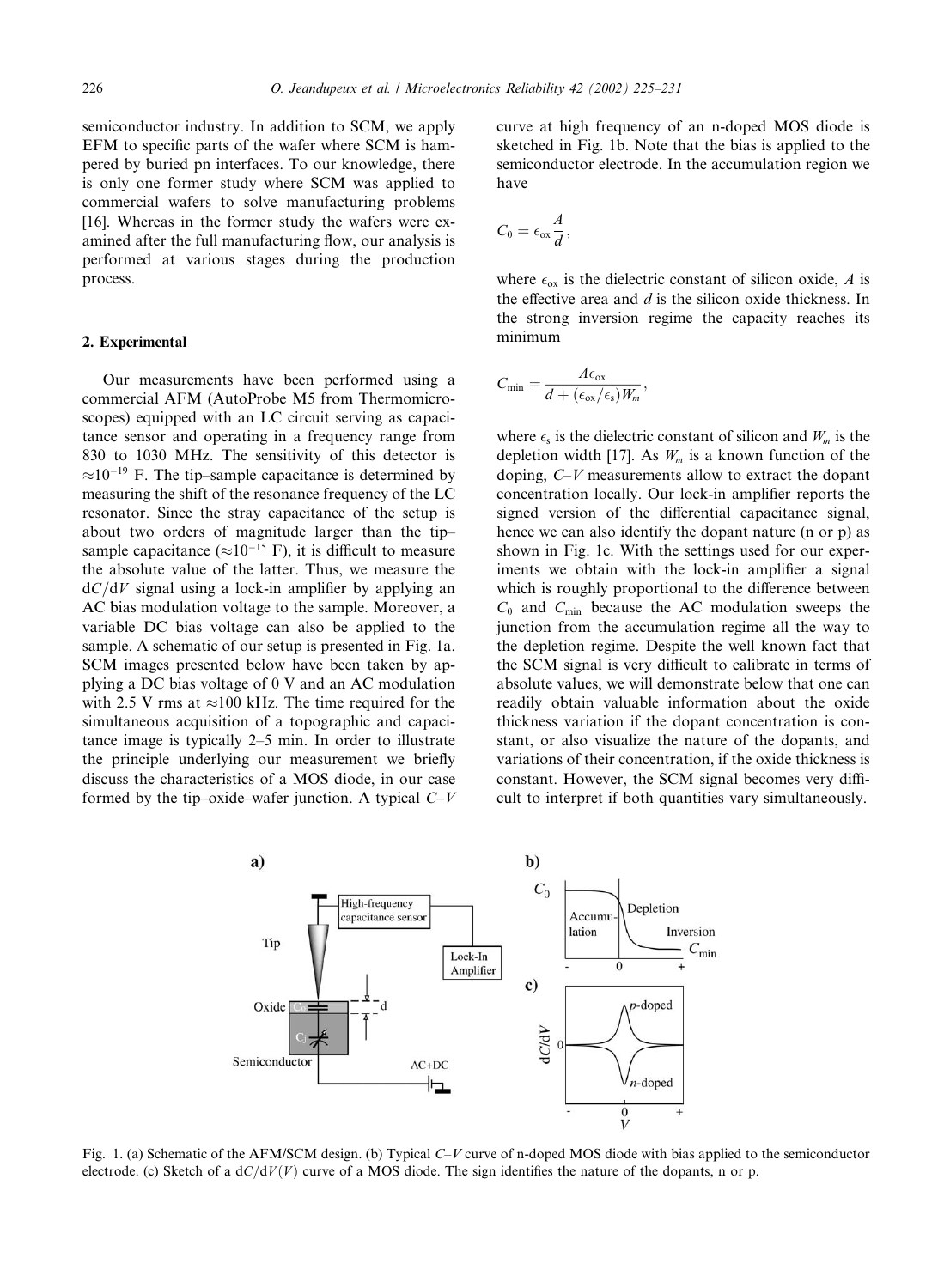semiconductor industry. In addition to SCM, we apply EFM to specific parts of the wafer where SCM is hampered by buried pn interfaces. To our knowledge, there is only one former study where SCM was applied to commercial wafers to solve manufacturing problems [16]. Whereas in the former study the wafers were examined after the full manufacturing flow, our analysis is performed at various stages during the production process.

# 2. Experimental

Our measurements have been performed using a commercial AFM (AutoProbe M5 from Thermomicroscopes) equipped with an LC circuit serving as capacitance sensor and operating in a frequency range from 830 to 1030 MHz. The sensitivity of this detector is  $\approx 10^{-19}$  F. The tip–sample capacitance is determined by measuring the shift of the resonance frequency of the LC resonator. Since the stray capacitance of the setup is about two orders of magnitude larger than the tip– sample capacitance ( $\approx 10^{-15}$  F), it is difficult to measure the absolute value of the latter. Thus, we measure the  $dC/dV$  signal using a lock-in amplifier by applying an AC bias modulation voltage to the sample. Moreover, a variable DC bias voltage can also be applied to the sample. A schematic of our setup is presented in Fig. 1a. SCM images presented below have been taken by applying a DC bias voltage of 0 V and an AC modulation with 2.5 V rms at  $\approx$ 100 kHz. The time required for the simultaneous acquisition of a topographic and capacitance image is typically 2–5 min. In order to illustrate the principle underlying our measurement we briefly discuss the characteristics of a MOS diode, in our case formed by the tip–oxide–wafer junction. A typical  $C-V$  curve at high frequency of an n-doped MOS diode is sketched in Fig. 1b. Note that the bias is applied to the semiconductor electrode. In the accumulation region we have

$$
C_0=\epsilon_{\text{ox}}\frac{A}{d},
$$

where  $\epsilon_{ox}$  is the dielectric constant of silicon oxide, A is the effective area and  $d$  is the silicon oxide thickness. In the strong inversion regime the capacity reaches its minimum

$$
C_{\min} = \frac{A\epsilon_{\text{ox}}}{d + (\epsilon_{\text{ox}}/\epsilon_{\text{s}})W_m},
$$

where  $\epsilon_s$  is the dielectric constant of silicon and  $W_m$  is the depletion width [17]. As  $W_m$  is a known function of the doping, C–V measurements allow to extract the dopant concentration locally. Our lock-in amplifier reports the signed version of the differential capacitance signal, hence we can also identify the dopant nature (n or p) as shown in Fig. 1c. With the settings used for our experiments we obtain with the lock-in amplifier a signal which is roughly proportional to the difference between  $C_0$  and  $C_{\text{min}}$  because the AC modulation sweeps the junction from the accumulation regime all the way to the depletion regime. Despite the well known fact that the SCM signal is very difficult to calibrate in terms of absolute values, we will demonstrate below that one can readily obtain valuable information about the oxide thickness variation if the dopant concentration is constant, or also visualize the nature of the dopants, and variations of their concentration, if the oxide thickness is constant. However, the SCM signal becomes very difficult to interpret if both quantities vary simultaneously.



Fig. 1. (a) Schematic of the AFM/SCM design. (b) Typical C–V curve of n-doped MOS diode with bias applied to the semiconductor electrode. (c) Sketch of a  $dC/dV(V)$  curve of a MOS diode. The sign identifies the nature of the dopants, n or p.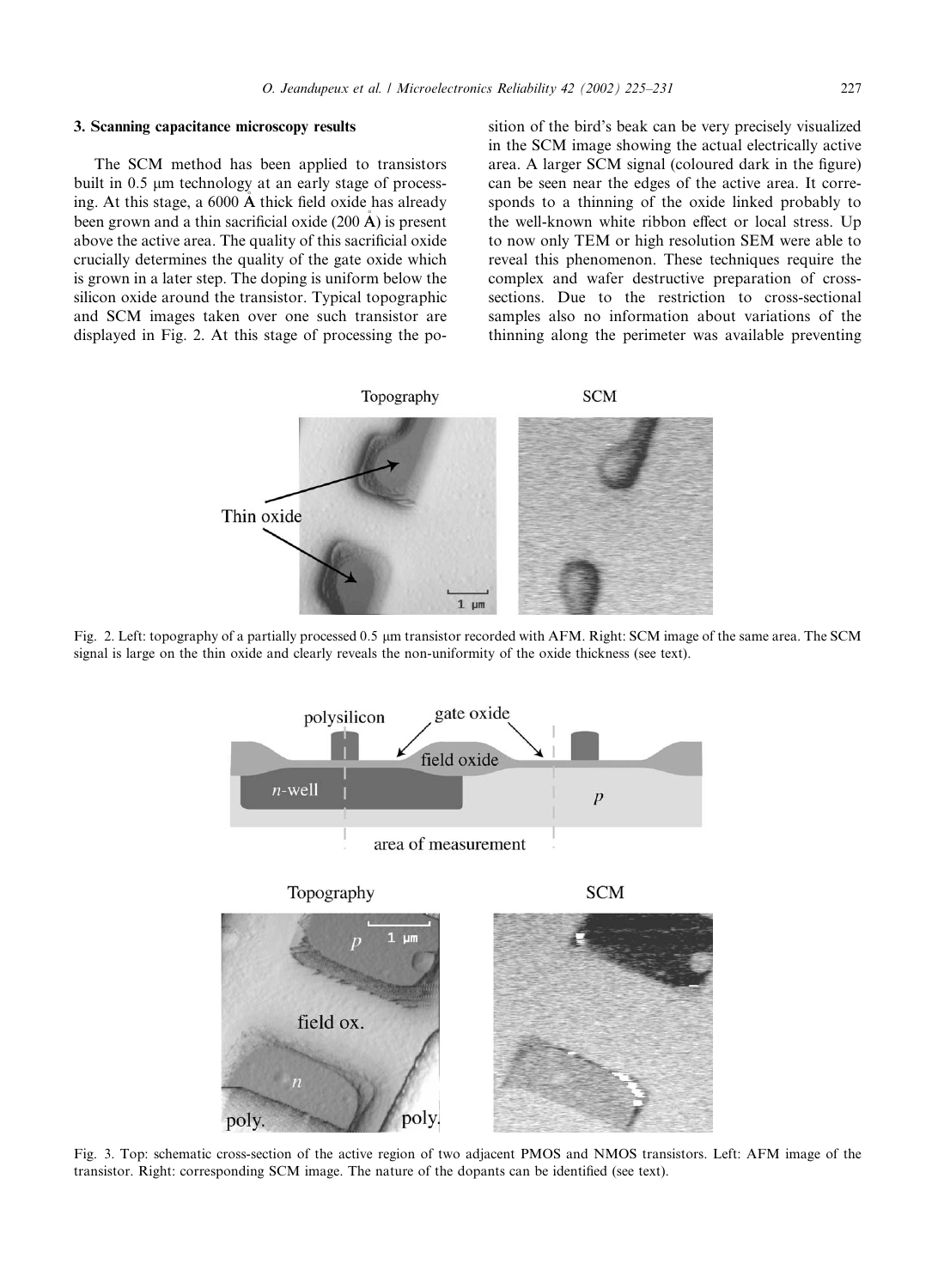# 3. Scanning capacitance microscopy results

The SCM method has been applied to transistors built in  $0.5 \mu m$  technology at an early stage of processing. At this stage, a 6000 A thick field oxide has already been grown and a thin sacrificial oxide  $(200 \text{ Å})$  is present above the active area. The quality of this sacrificial oxide crucially determines the quality of the gate oxide which is grown in a later step. The doping is uniform below the silicon oxide around the transistor. Typical topographic and SCM images taken over one such transistor are displayed in Fig. 2. At this stage of processing the position of the bird's beak can be very precisely visualized in the SCM image showing the actual electrically active area. A larger SCM signal (coloured dark in the figure) can be seen near the edges of the active area. It corresponds to a thinning of the oxide linked probably to the well-known white ribbon effect or local stress. Up to now only TEM or high resolution SEM were able to reveal this phenomenon. These techniques require the complex and wafer destructive preparation of crosssections. Due to the restriction to cross-sectional samples also no information about variations of the thinning along the perimeter was available preventing



Fig. 2. Left: topography of a partially processed 0:5 lm transistor recorded with AFM. Right: SCM image of the same area. The SCM signal is large on the thin oxide and clearly reveals the non-uniformity of the oxide thickness (see text).



Fig. 3. Top: schematic cross-section of the active region of two adjacent PMOS and NMOS transistors. Left: AFM image of the transistor. Right: corresponding SCM image. The nature of the dopants can be identified (see text).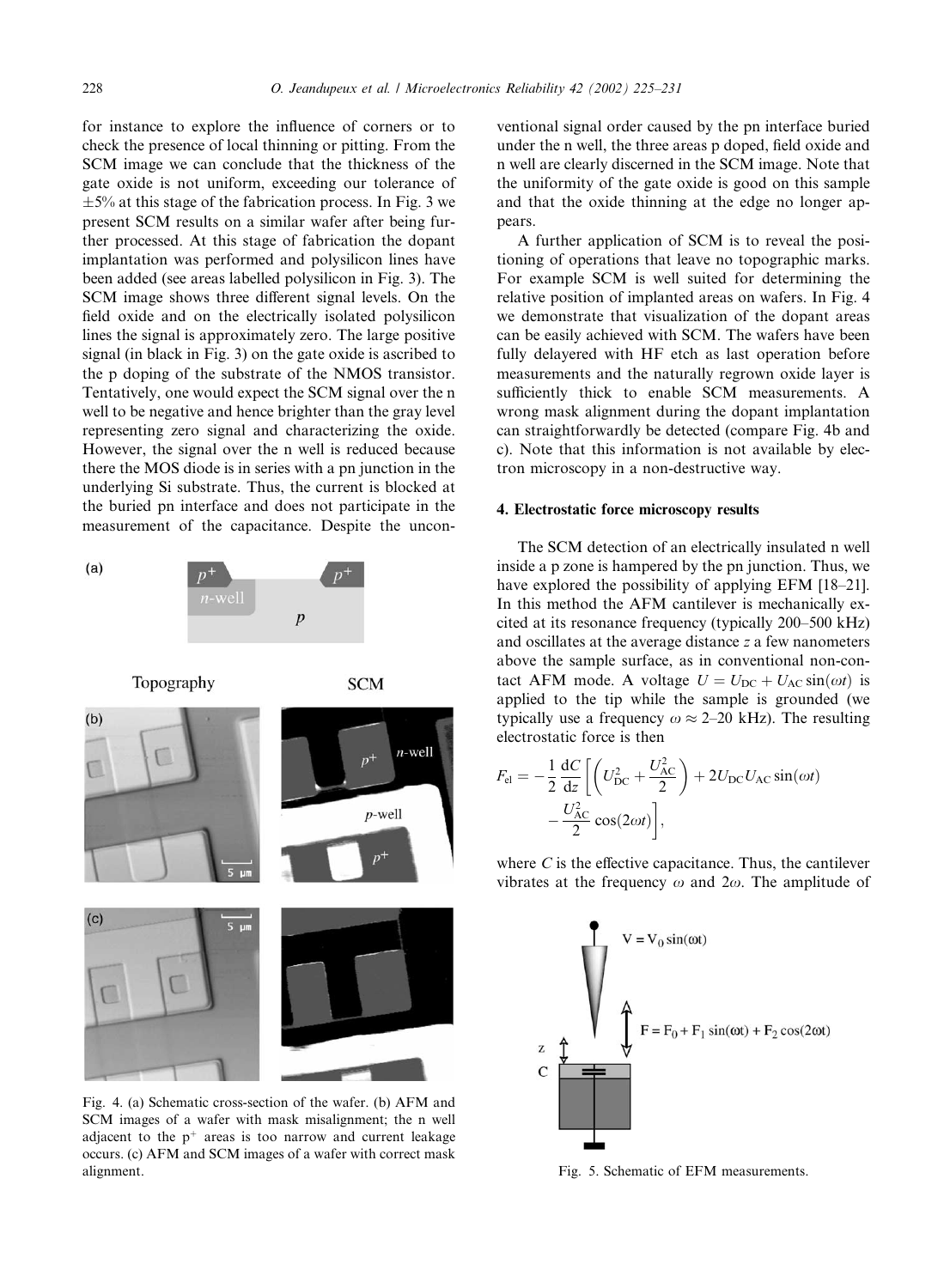for instance to explore the influence of corners or to check the presence of local thinning or pitting. From the SCM image we can conclude that the thickness of the gate oxide is not uniform, exceeding our tolerance of  $\pm$ 5% at this stage of the fabrication process. In Fig. 3 we present SCM results on a similar wafer after being further processed. At this stage of fabrication the dopant implantation was performed and polysilicon lines have been added (see areas labelled polysilicon in Fig. 3). The SCM image shows three different signal levels. On the field oxide and on the electrically isolated polysilicon lines the signal is approximately zero. The large positive signal (in black in Fig. 3) on the gate oxide is ascribed to the p doping of the substrate of the NMOS transistor. Tentatively, one would expect the SCM signal over the n well to be negative and hence brighter than the gray level representing zero signal and characterizing the oxide. However, the signal over the n well is reduced because there the MOS diode is in series with a pn junction in the underlying Si substrate. Thus, the current is blocked at the buried pn interface and does not participate in the measurement of the capacitance. Despite the uncon-



Fig. 4. (a) Schematic cross-section of the wafer. (b) AFM and SCM images of a wafer with mask misalignment; the n well adjacent to the  $p^+$  areas is too narrow and current leakage occurs. (c) AFM and SCM images of a wafer with correct mask alignment. The state of EFM measurements. The state of EFM measurements.

ventional signal order caused by the pn interface buried under the n well, the three areas p doped, field oxide and n well are clearly discerned in the SCM image. Note that the uniformity of the gate oxide is good on this sample and that the oxide thinning at the edge no longer appears.

A further application of SCM is to reveal the positioning of operations that leave no topographic marks. For example SCM is well suited for determining the relative position of implanted areas on wafers. In Fig. 4 we demonstrate that visualization of the dopant areas can be easily achieved with SCM. The wafers have been fully delayered with HF etch as last operation before measurements and the naturally regrown oxide layer is sufficiently thick to enable SCM measurements. A wrong mask alignment during the dopant implantation can straightforwardly be detected (compare Fig. 4b and c). Note that this information is not available by electron microscopy in a non-destructive way.

## 4. Electrostatic force microscopy results

The SCM detection of an electrically insulated n well inside a p zone is hampered by the pn junction. Thus, we have explored the possibility of applying EFM [18–21]. In this method the AFM cantilever is mechanically excited at its resonance frequency (typically 200–500 kHz) and oscillates at the average distance z a few nanometers above the sample surface, as in conventional non-contact AFM mode. A voltage  $U = U_{DC} + U_{AC} \sin(\omega t)$  is applied to the tip while the sample is grounded (we typically use a frequency  $\omega \approx 2{\text -}20$  kHz). The resulting electrostatic force is then

$$
F_{\rm el} = -\frac{1}{2} \frac{\mathrm{d}C}{\mathrm{d}z} \left[ \left( U_{\rm DC}^2 + \frac{U_{\rm AC}^2}{2} \right) + 2U_{\rm DC} U_{\rm AC} \sin(\omega t) - \frac{U_{\rm AC}^2}{2} \cos(2\omega t) \right],
$$

where  $C$  is the effective capacitance. Thus, the cantilever vibrates at the frequency  $\omega$  and  $2\omega$ . The amplitude of

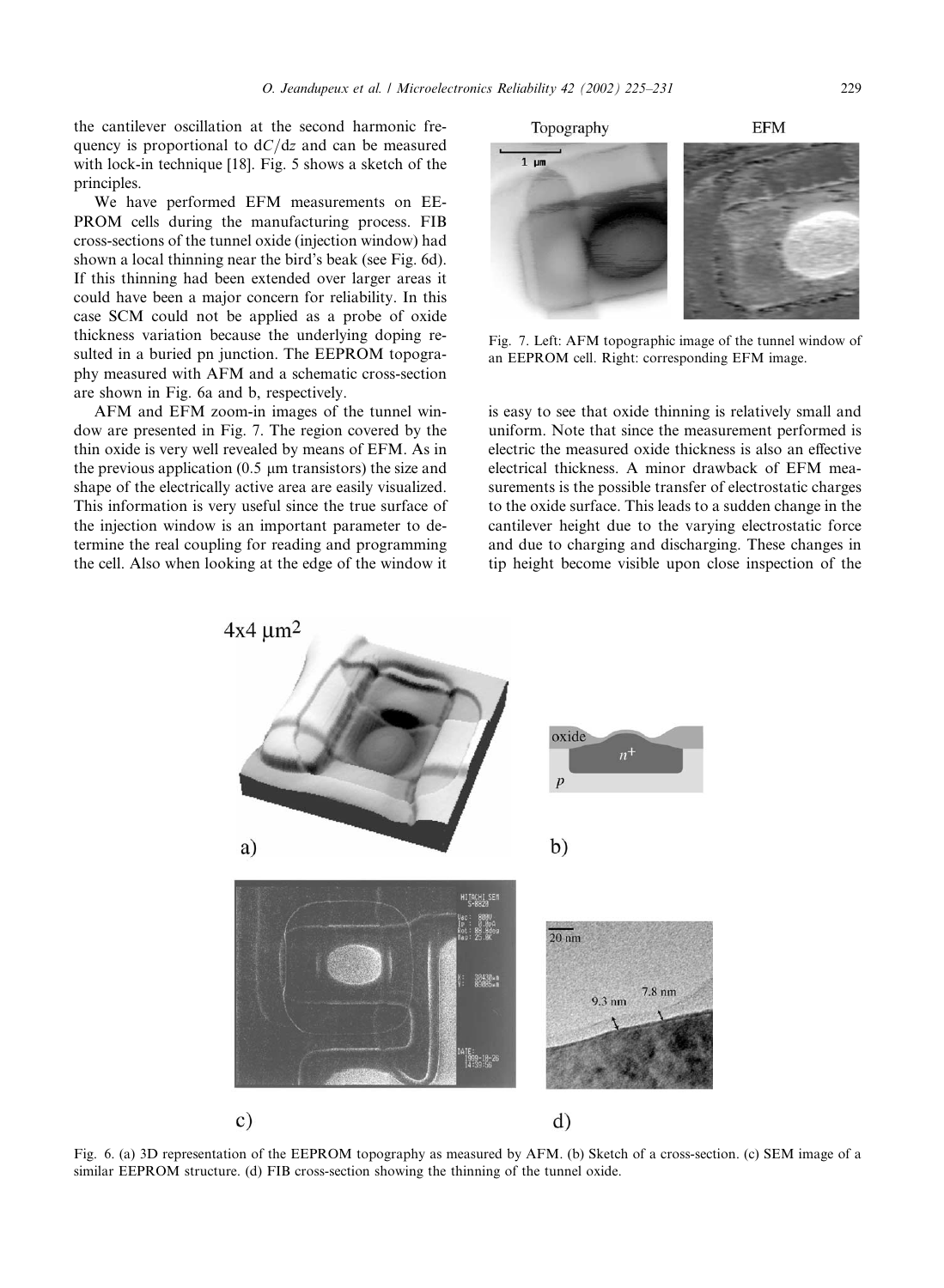the cantilever oscillation at the second harmonic frequency is proportional to  $dC/dz$  and can be measured with lock-in technique [18]. Fig. 5 shows a sketch of the principles.

We have performed EFM measurements on EE-PROM cells during the manufacturing process. FIB cross-sections of the tunnel oxide (injection window) had shown a local thinning near the bird's beak (see Fig. 6d). If this thinning had been extended over larger areas it could have been a major concern for reliability. In this case SCM could not be applied as a probe of oxide thickness variation because the underlying doping resulted in a buried pn junction. The EEPROM topography measured with AFM and a schematic cross-section are shown in Fig. 6a and b, respectively.

AFM and EFM zoom-in images of the tunnel window are presented in Fig. 7. The region covered by the thin oxide is very well revealed by means of EFM. As in the previous application  $(0.5 \mu m)$  transistors) the size and shape of the electrically active area are easily visualized. This information is very useful since the true surface of the injection window is an important parameter to determine the real coupling for reading and programming the cell. Also when looking at the edge of the window it

 $4x4 \mu m^2$ 

is easy to see that oxide thinning is relatively small and uniform. Note that since the measurement performed is

Fig. 7. Left: AFM topographic image of the tunnel window of an EEPROM cell. Right: corresponding EFM image.

electric the measured oxide thickness is also an effective electrical thickness. A minor drawback of EFM measurements is the possible transfer of electrostatic charges to the oxide surface. This leads to a sudden change in the cantilever height due to the varying electrostatic force and due to charging and discharging. These changes in tip height become visible upon close inspection of the



Fig. 6. (a) 3D representation of the EEPROM topography as measured by AFM. (b) Sketch of a cross-section. (c) SEM image of a similar EEPROM structure. (d) FIB cross-section showing the thinning of the tunnel oxide.

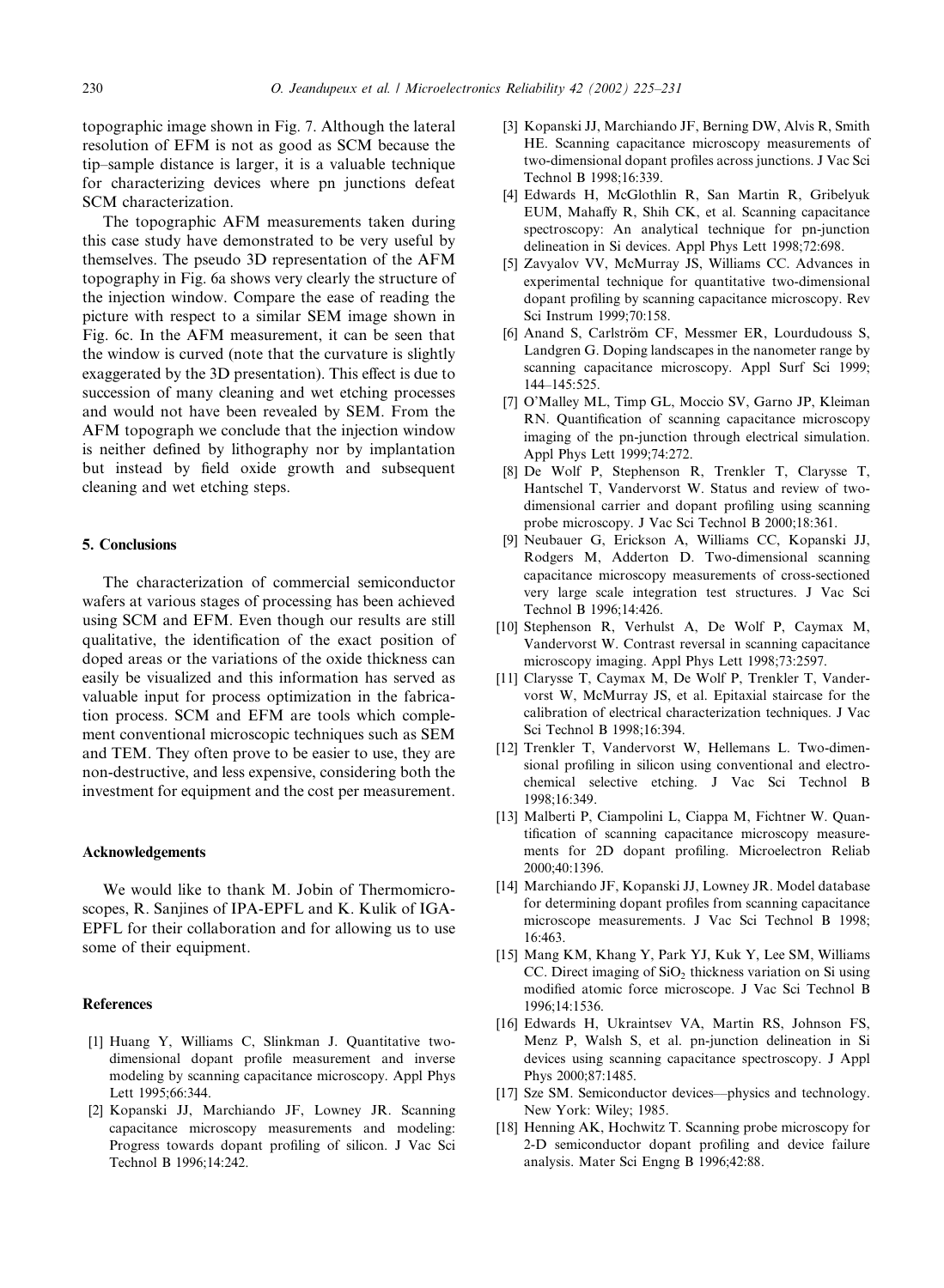topographic image shown in Fig. 7. Although the lateral resolution of EFM is not as good as SCM because the tip–sample distance is larger, it is a valuable technique for characterizing devices where pn junctions defeat SCM characterization.

The topographic AFM measurements taken during this case study have demonstrated to be very useful by themselves. The pseudo 3D representation of the AFM topography in Fig. 6a shows very clearly the structure of the injection window. Compare the ease of reading the picture with respect to a similar SEM image shown in Fig. 6c. In the AFM measurement, it can be seen that the window is curved (note that the curvature is slightly exaggerated by the 3D presentation). This effect is due to succession of many cleaning and wet etching processes and would not have been revealed by SEM. From the AFM topograph we conclude that the injection window is neither defined by lithography nor by implantation but instead by field oxide growth and subsequent cleaning and wet etching steps.

### 5. Conclusions

The characterization of commercial semiconductor wafers at various stages of processing has been achieved using SCM and EFM. Even though our results are still qualitative, the identification of the exact position of doped areas or the variations of the oxide thickness can easily be visualized and this information has served as valuable input for process optimization in the fabrication process. SCM and EFM are tools which complement conventional microscopic techniques such as SEM and TEM. They often prove to be easier to use, they are non-destructive, and less expensive, considering both the investment for equipment and the cost per measurement.

# Acknowledgements

We would like to thank M. Jobin of Thermomicroscopes, R. Sanjines of IPA-EPFL and K. Kulik of IGA-EPFL for their collaboration and for allowing us to use some of their equipment.

### References

- [1] Huang Y, Williams C, Slinkman J. Quantitative twodimensional dopant profile measurement and inverse modeling by scanning capacitance microscopy. Appl Phys Lett 1995;66:344.
- [2] Kopanski JJ, Marchiando JF, Lowney JR. Scanning capacitance microscopy measurements and modeling: Progress towards dopant profiling of silicon. J Vac Sci Technol B 1996;14:242.
- [3] Kopanski JJ, Marchiando JF, Berning DW, Alvis R, Smith HE. Scanning capacitance microscopy measurements of two-dimensional dopant profiles across junctions. J Vac Sci Technol B 1998;16:339.
- [4] Edwards H, McGlothlin R, San Martin R, Gribelyuk EUM, Mahaffy R, Shih CK, et al. Scanning capacitance spectroscopy: An analytical technique for pn-junction delineation in Si devices. Appl Phys Lett 1998;72:698.
- [5] Zavyalov VV, McMurray JS, Williams CC. Advances in experimental technique for quantitative two-dimensional dopant profiling by scanning capacitance microscopy. Rev Sci Instrum 1999;70:158.
- [6] Anand S, Carlström CF, Messmer ER, Lourdudouss S, Landgren G. Doping landscapes in the nanometer range by scanning capacitance microscopy. Appl Surf Sci 1999; 144–145:525.
- [7] O'Malley ML, Timp GL, Moccio SV, Garno JP, Kleiman RN. Quantification of scanning capacitance microscopy imaging of the pn-junction through electrical simulation. Appl Phys Lett 1999;74:272.
- [8] De Wolf P, Stephenson R, Trenkler T, Clarysse T, Hantschel T, Vandervorst W. Status and review of twodimensional carrier and dopant profiling using scanning probe microscopy. J Vac Sci Technol B 2000;18:361.
- [9] Neubauer G, Erickson A, Williams CC, Kopanski JJ, Rodgers M, Adderton D. Two-dimensional scanning capacitance microscopy measurements of cross-sectioned very large scale integration test structures. J Vac Sci Technol B 1996;14:426.
- [10] Stephenson R, Verhulst A, De Wolf P, Caymax M, Vandervorst W. Contrast reversal in scanning capacitance microscopy imaging. Appl Phys Lett 1998;73:2597.
- [11] Clarysse T, Caymax M, De Wolf P, Trenkler T, Vandervorst W, McMurray JS, et al. Epitaxial staircase for the calibration of electrical characterization techniques. J Vac Sci Technol B 1998;16:394.
- [12] Trenkler T, Vandervorst W, Hellemans L. Two-dimensional profiling in silicon using conventional and electrochemical selective etching. J Vac Sci Technol B 1998;16:349.
- [13] Malberti P, Ciampolini L, Ciappa M, Fichtner W. Quantification of scanning capacitance microscopy measurements for 2D dopant profiling. Microelectron Reliab 2000;40:1396.
- [14] Marchiando JF, Kopanski JJ, Lowney JR. Model database for determining dopant profiles from scanning capacitance microscope measurements. J Vac Sci Technol B 1998; 16:463.
- [15] Mang KM, Khang Y, Park YJ, Kuk Y, Lee SM, Williams CC. Direct imaging of  $SiO<sub>2</sub>$  thickness variation on Si using modified atomic force microscope. J Vac Sci Technol B 1996;14:1536.
- [16] Edwards H, Ukraintsev VA, Martin RS, Johnson FS, Menz P, Walsh S, et al. pn-junction delineation in Si devices using scanning capacitance spectroscopy. J Appl Phys 2000;87:1485.
- [17] Sze SM. Semiconductor devices––physics and technology. New York: Wiley; 1985.
- [18] Henning AK, Hochwitz T. Scanning probe microscopy for 2-D semiconductor dopant profiling and device failure analysis. Mater Sci Engng B 1996;42:88.